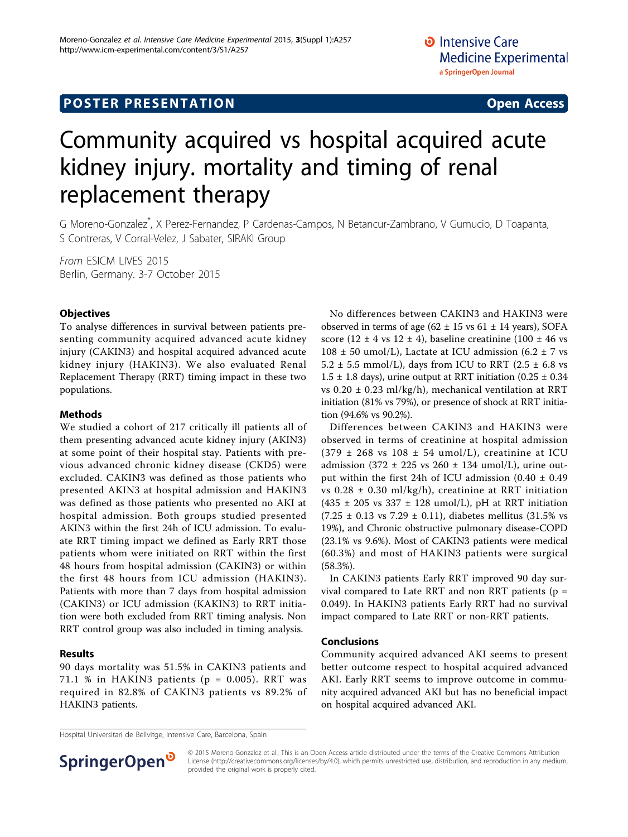## **POSTER PRESENTATION CONSUMING ACCESS**

# Community acquired vs hospital acquired acute kidney injury. mortality and timing of renal replacement therapy

G Moreno-Gonzalez\* , X Perez-Fernandez, P Cardenas-Campos, N Betancur-Zambrano, V Gumucio, D Toapanta, S Contreras, V Corral-Velez, J Sabater, SIRAKI Group

From ESICM LIVES 2015 Berlin, Germany. 3-7 October 2015

#### **Objectives**

To analyse differences in survival between patients presenting community acquired advanced acute kidney injury (CAKIN3) and hospital acquired advanced acute kidney injury (HAKIN3). We also evaluated Renal Replacement Therapy (RRT) timing impact in these two populations.

#### Methods

We studied a cohort of 217 critically ill patients all of them presenting advanced acute kidney injury (AKIN3) at some point of their hospital stay. Patients with previous advanced chronic kidney disease (CKD5) were excluded. CAKIN3 was defined as those patients who presented AKIN3 at hospital admission and HAKIN3 was defined as those patients who presented no AKI at hospital admission. Both groups studied presented AKIN3 within the first 24h of ICU admission. To evaluate RRT timing impact we defined as Early RRT those patients whom were initiated on RRT within the first 48 hours from hospital admission (CAKIN3) or within the first 48 hours from ICU admission (HAKIN3). Patients with more than 7 days from hospital admission (CAKIN3) or ICU admission (KAKIN3) to RRT initiation were both excluded from RRT timing analysis. Non RRT control group was also included in timing analysis.

#### Results

90 days mortality was 51.5% in CAKIN3 patients and 71.1 % in HAKIN3 patients ( $p = 0.005$ ). RRT was required in 82.8% of CAKIN3 patients vs 89.2% of HAKIN3 patients.

No differences between CAKIN3 and HAKIN3 were observed in terms of age  $(62 \pm 15 \text{ vs } 61 \pm 14 \text{ years})$ , SOFA score (12  $\pm$  4 vs 12  $\pm$  4), baseline creatinine (100  $\pm$  46 vs  $108 \pm 50$  umol/L), Lactate at ICU admission (6.2  $\pm$  7 vs 5.2  $\pm$  5.5 mmol/L), days from ICU to RRT (2.5  $\pm$  6.8 vs  $1.5 \pm 1.8$  days), urine output at RRT initiation (0.25  $\pm$  0.34 vs  $0.20 \pm 0.23$  ml/kg/h), mechanical ventilation at RRT initiation (81% vs 79%), or presence of shock at RRT initiation (94.6% vs 90.2%).

Differences between CAKIN3 and HAKIN3 were observed in terms of creatinine at hospital admission  $(379 \pm 268 \text{ vs } 108 \pm 54 \text{ umol/L})$ , creatinine at ICU admission (372  $\pm$  225 vs 260  $\pm$  134 umol/L), urine output within the first 24h of ICU admission  $(0.40 \pm 0.49)$ vs  $0.28 \pm 0.30$  ml/kg/h), creatinine at RRT initiation (435  $\pm$  205 vs 337  $\pm$  128 umol/L), pH at RRT initiation  $(7.25 \pm 0.13 \text{ vs } 7.29 \pm 0.11)$ , diabetes mellitus  $(31.5\% \text{ vs } 1.5\%)$ 19%), and Chronic obstructive pulmonary disease-COPD (23.1% vs 9.6%). Most of CAKIN3 patients were medical (60.3%) and most of HAKIN3 patients were surgical (58.3%).

In CAKIN3 patients Early RRT improved 90 day survival compared to Late RRT and non RRT patients ( $p =$ 0.049). In HAKIN3 patients Early RRT had no survival impact compared to Late RRT or non-RRT patients.

#### Conclusions

Community acquired advanced AKI seems to present better outcome respect to hospital acquired advanced AKI. Early RRT seems to improve outcome in community acquired advanced AKI but has no beneficial impact on hospital acquired advanced AKI.

Hospital Universitari de Bellvitge, Intensive Care, Barcelona, Spain



© 2015 Moreno-Gonzalez et al.; This is an Open Access article distributed under the terms of the Creative Commons Attribution License [\(http://creativecommons.org/licenses/by/4.0](http://creativecommons.org/licenses/by/4.0)), which permits unrestricted use, distribution, and reproduction in any medium, provided the original work is properly cited.